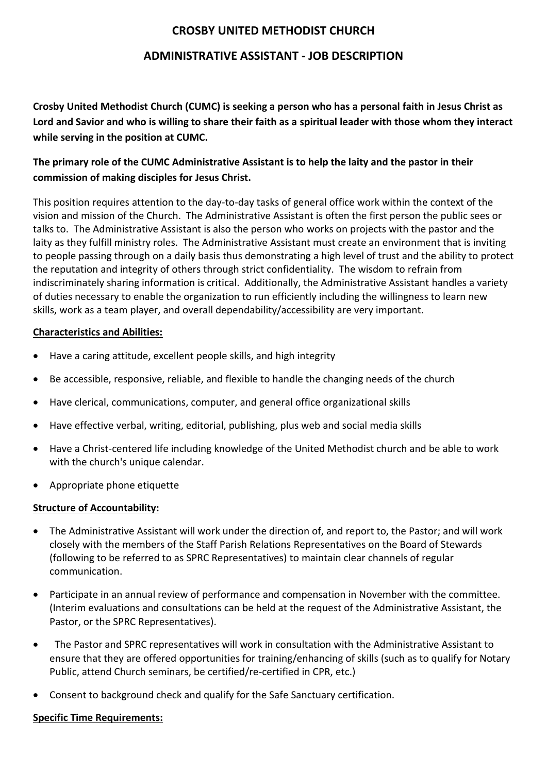# **CROSBY UNITED METHODIST CHURCH**

## **ADMINISTRATIVE ASSISTANT - JOB DESCRIPTION**

**Crosby United Methodist Church (CUMC) is seeking a person who has a personal faith in Jesus Christ as Lord and Savior and who is willing to share their faith as a spiritual leader with those whom they interact while serving in the position at CUMC.**

# **The primary role of the CUMC Administrative Assistant is to help the laity and the pastor in their commission of making disciples for Jesus Christ.**

This position requires attention to the day-to-day tasks of general office work within the context of the vision and mission of the Church. The Administrative Assistant is often the first person the public sees or talks to. The Administrative Assistant is also the person who works on projects with the pastor and the laity as they fulfill ministry roles. The Administrative Assistant must create an environment that is inviting to people passing through on a daily basis thus demonstrating a high level of trust and the ability to protect the reputation and integrity of others through strict confidentiality. The wisdom to refrain from indiscriminately sharing information is critical. Additionally, the Administrative Assistant handles a variety of duties necessary to enable the organization to run efficiently including the willingness to learn new skills, work as a team player, and overall dependability/accessibility are very important.

#### **Characteristics and Abilities:**

- Have a caring attitude, excellent people skills, and high integrity
- Be accessible, responsive, reliable, and flexible to handle the changing needs of the church
- Have clerical, communications, computer, and general office organizational skills
- Have effective verbal, writing, editorial, publishing, plus web and social media skills
- Have a Christ-centered life including knowledge of the United Methodist church and be able to work with the church's unique calendar.
- Appropriate phone etiquette

#### **Structure of Accountability:**

- The Administrative Assistant will work under the direction of, and report to, the Pastor; and will work closely with the members of the Staff Parish Relations Representatives on the Board of Stewards (following to be referred to as SPRC Representatives) to maintain clear channels of regular communication.
- Participate in an annual review of performance and compensation in November with the committee. (Interim evaluations and consultations can be held at the request of the Administrative Assistant, the Pastor, or the SPRC Representatives).
- The Pastor and SPRC representatives will work in consultation with the Administrative Assistant to ensure that they are offered opportunities for training/enhancing of skills (such as to qualify for Notary Public, attend Church seminars, be certified/re-certified in CPR, etc.)
- Consent to background check and qualify for the Safe Sanctuary certification.

### **Specific Time Requirements:**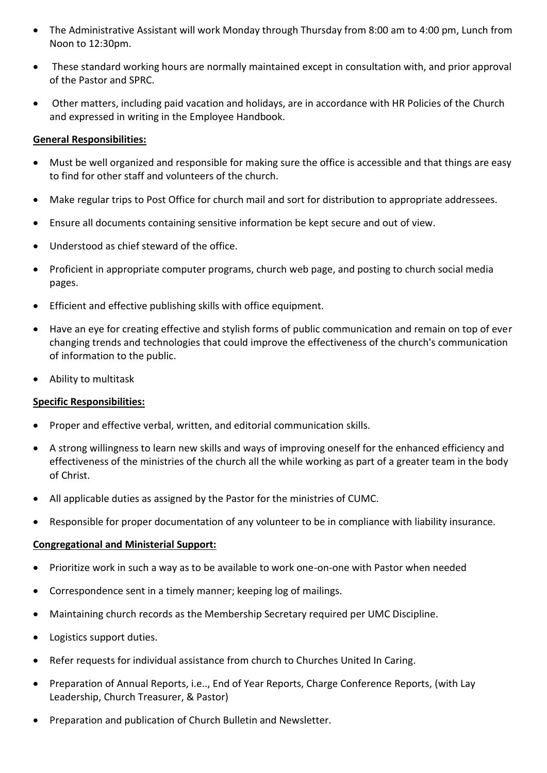- The Administrative Assistant will work Monday through Thursday from 8:00 am to 4:00 pm, Lunch from Noon to 12:30pm.
- These standard working hours are normally maintained except in consultation with, and prior approval of the Pastor and SPRC.
- Other matters, including paid vacation and holidays, are in accordance with HR Policies of the Church and expressed in writing in the Employee Handbook.

#### **General Responsibilities:**

- Must be well organized and responsible for making sure the office is accessible and that things are easy to find for other staff and volunteers of the church.
- Make regular trips to Post Office for church mail and sort for distribution to appropriate addressees.
- Ensure all documents containing sensitive information be kept secure and out of view.
- Understood as chief steward of the office.
- Proficient in appropriate computer programs, church web page, and posting to church social media pages.
- Efficient and effective publishing skills with office equipment.
- Have an eye for creating effective and stylish forms of public communication and remain on top of ever changing trends and technologies that could improve the effectiveness of the church's communication of information to the public.
- Ability to multitask

### **Specific Responsibilities:**

- Proper and effective verbal, written, and editorial communication skills.
- A strong willingness to learn new skills and ways of improving oneself for the enhanced efficiency and effectiveness of the ministries of the church all the while working as part of a greater team in the body of Christ.
- All applicable duties as assigned by the Pastor for the ministries of CUMC.
- Responsible for proper documentation of any volunteer to be in compliance with liability insurance.

#### **Congregational and Ministerial Support:**

- Prioritize work in such a way as to be available to work one-on-one with Pastor when needed
- Correspondence sent in a timely manner; keeping log of mailings.
- Maintaining church records as the Membership Secretary required per UMC Discipline.
- Logistics support duties.
- Refer requests for individual assistance from church to Churches United In Caring.
- Preparation of Annual Reports, i.e.., End of Year Reports, Charge Conference Reports, (with Lay Leadership, Church Treasurer, & Pastor)
- Preparation and publication of Church Bulletin and Newsletter.